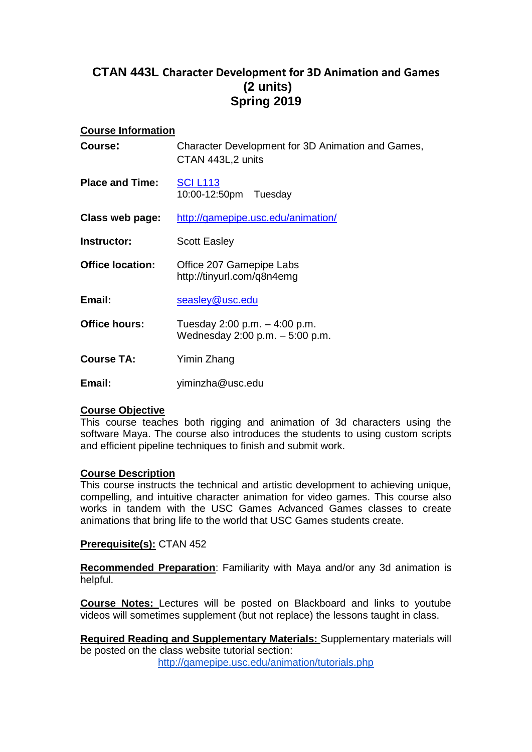# **CTAN 443L Character Development for 3D Animation and Games (2 units) Spring 2019**

### **Course Information**

| Course:                 | Character Development for 3D Animation and Games,<br>CTAN 443L,2 units |
|-------------------------|------------------------------------------------------------------------|
| <b>Place and Time:</b>  | <b>SCI L113</b><br>10:00-12:50pm Tuesday                               |
| Class web page:         | http://gamepipe.usc.edu/animation/                                     |
| Instructor:             | <b>Scott Easley</b>                                                    |
| <b>Office location:</b> | Office 207 Gamepipe Labs<br>http://tinyurl.com/q8n4emg                 |
| Email:                  | seasley@usc.edu                                                        |
| <b>Office hours:</b>    | Tuesday 2:00 p.m. - 4:00 p.m.<br>Wednesday 2:00 p.m. - 5:00 p.m.       |
| <b>Course TA:</b>       | Yimin Zhang                                                            |
| Email:                  | yiminzha@usc.edu                                                       |

# **Course Objective**

This course teaches both rigging and animation of 3d characters using the software Maya. The course also introduces the students to using custom scripts and efficient pipeline techniques to finish and submit work.

# **Course Description**

This course instructs the technical and artistic development to achieving unique, compelling, and intuitive character animation for video games. This course also works in tandem with the USC Games Advanced Games classes to create animations that bring life to the world that USC Games students create.

#### **Prerequisite(s):** CTAN 452

**Recommended Preparation**: Familiarity with Maya and/or any 3d animation is helpful.

**Course Notes:** Lectures will be posted on Blackboard and links to youtube videos will sometimes supplement (but not replace) the lessons taught in class.

**Required Reading and Supplementary Materials:** Supplementary materials will be posted on the class website tutorial section: <http://gamepipe.usc.edu/animation/tutorials.php>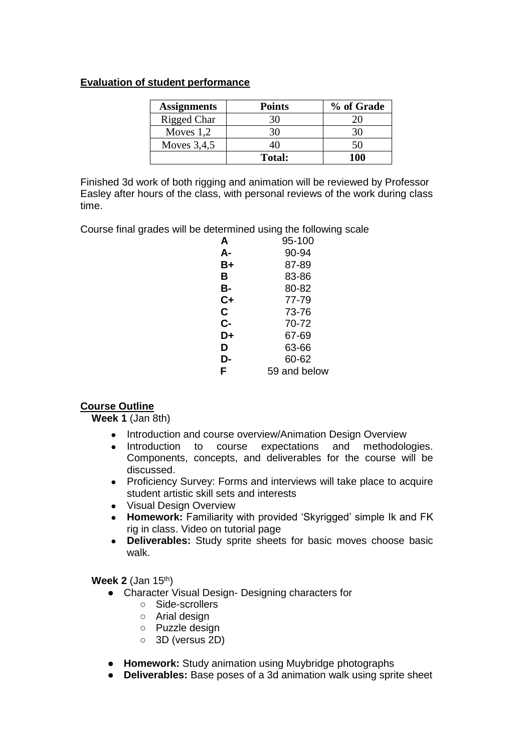### **Evaluation of student performance**

| <b>Assignments</b> | <b>Points</b> | % of Grade |
|--------------------|---------------|------------|
| Rigged Char        |               |            |
| Moves $1,2$        |               |            |
| Moves $3,4,5$      |               | 50         |
|                    | <b>Total:</b> | 100        |

Finished 3d work of both rigging and animation will be reviewed by Professor Easley after hours of the class, with personal reviews of the work during class time.

Course final grades will be determined using the following scale

| A    | 95-100       |
|------|--------------|
| А-   | 90-94        |
| B+   | 87-89        |
| в    | 83-86        |
| в-   | 80-82        |
| $C+$ | 77-79        |
| C.   | 73-76        |
| C-   | 70-72        |
| D+   | 67-69        |
| D    | 63-66        |
| D-   | 60-62        |
| F    | 59 and below |

# **Course Outline**

**Week 1** (Jan 8th)

- Introduction and course overview/Animation Design Overview
- Introduction to course expectations and methodologies. Components, concepts, and deliverables for the course will be discussed.
- Proficiency Survey: Forms and interviews will take place to acquire student artistic skill sets and interests
- Visual Design Overview
- **Homework:** Familiarity with provided 'Skyrigged' simple Ik and FK rig in class. Video on tutorial page
- **Deliverables:** Study sprite sheets for basic moves choose basic walk.

**Week 2** (Jan 15<sup>th</sup>)

- Character Visual Design- Designing characters for
	- Side-scrollers
	- Arial design
	- Puzzle design
	- 3D (versus 2D)
- **Homework:** Study animation using Muybridge photographs
- **Deliverables:** Base poses of a 3d animation walk using sprite sheet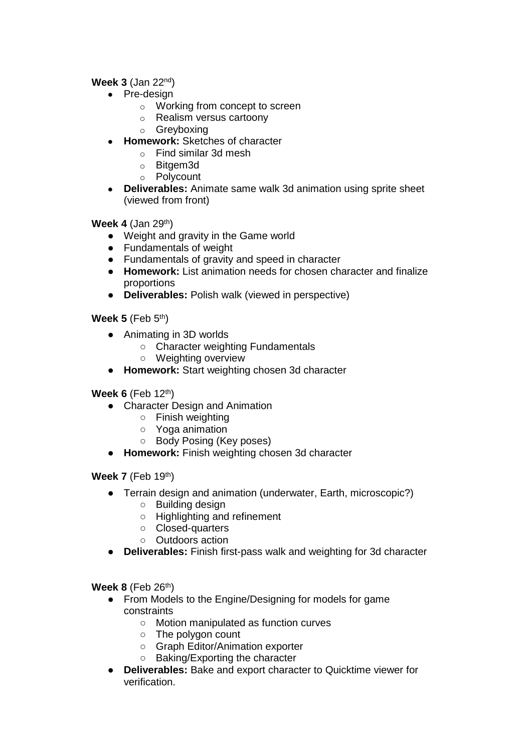# **Week 3** (Jan 22<sup>nd</sup>)

- Pre-design
	- o Working from concept to screen
	- o Realism versus cartoony
	- o Greyboxing
- **Homework:** Sketches of character
	- o Find similar 3d mesh
	- o Bitgem3d
	- o Polycount
- **Deliverables:** Animate same walk 3d animation using sprite sheet (viewed from front)

**Week 4 (Jan 29th)** 

- Weight and gravity in the Game world
- Fundamentals of weight
- Fundamentals of gravity and speed in character
- **Homework:** List animation needs for chosen character and finalize proportions
- **Deliverables:** Polish walk (viewed in perspective)

**Week 5** (Feb 5<sup>th</sup>)

- Animating in 3D worlds
	- Character weighting Fundamentals
	- Weighting overview
- **Homework:** Start weighting chosen 3d character

**Week 6** (Feb 12<sup>th</sup>)

- Character Design and Animation
	- Finish weighting
	- Yoga animation
	- Body Posing (Key poses)
- **Homework:** Finish weighting chosen 3d character

**Week 7** (Feb 19<sup>th</sup>)

- Terrain design and animation (underwater, Earth, microscopic?)
	- Building design
	- Highlighting and refinement
	- Closed-quarters
	- Outdoors action
- **Deliverables:** Finish first-pass walk and weighting for 3d character

**Week 8** (Feb 26<sup>th</sup>)

- From Models to the Engine/Designing for models for game constraints
	- Motion manipulated as function curves
	- The polygon count
	- Graph Editor/Animation exporter
	- Baking/Exporting the character
- **Deliverables:** Bake and export character to Quicktime viewer for verification.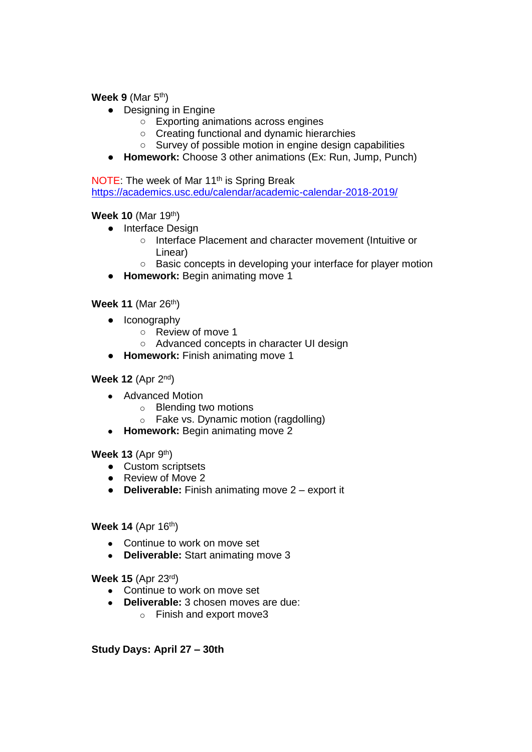**Week 9** (Mar 5<sup>th</sup>)

- Designing in Engine
	- Exporting animations across engines
	- Creating functional and dynamic hierarchies
	- Survey of possible motion in engine design capabilities
- **Homework:** Choose 3 other animations (Ex: Run, Jump, Punch)

NOTE: The week of Mar 11<sup>th</sup> is Spring Break <https://academics.usc.edu/calendar/academic-calendar-2018-2019/>

**Week 10** (Mar 19th)

- Interface Design
	- Interface Placement and character movement (Intuitive or Linear)
	- Basic concepts in developing your interface for player motion
- **Homework:** Begin animating move 1

**Week 11** (Mar 26<sup>th</sup>)

- Iconography
	- Review of move 1
	- Advanced concepts in character UI design
- **Homework:** Finish animating move 1

#### **Week 12** (Apr 2<sup>nd</sup>)

- Advanced Motion
	- o Blending two motions
	- o Fake vs. Dynamic motion (ragdolling)
- **Homework:** Begin animating move 2

**Week 13** (Apr 9<sup>th</sup>)

- Custom scriptsets
- Review of Move 2
- **Deliverable:** Finish animating move 2 export it

**Week 14** (Apr 16<sup>th</sup>)

- Continue to work on move set
- **Deliverable:** Start animating move 3

**Week 15** (Apr 23rd)

- Continue to work on move set
- **Deliverable:** 3 chosen moves are due:
	- o Finish and export move3

**Study Days: April 27 – 30th**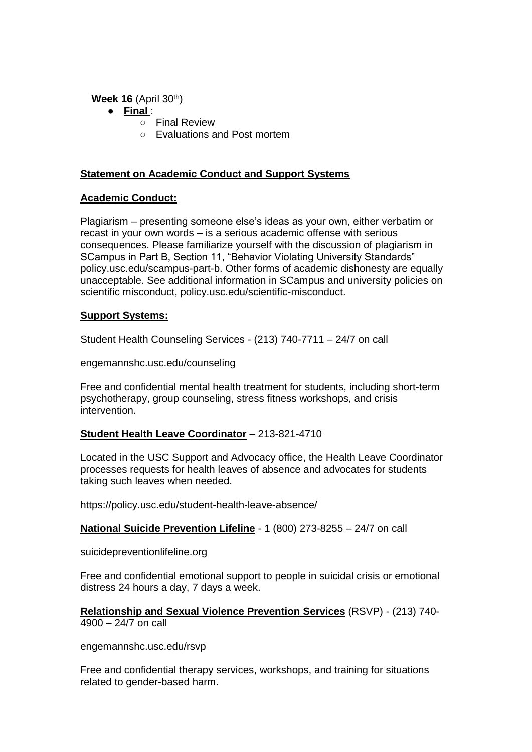**Week 16** (April 30<sup>th</sup>)

- **Final** :
	- Final Review
	- Evaluations and Post mortem

### **Statement on Academic Conduct and Support Systems**

### **Academic Conduct:**

Plagiarism – presenting someone else's ideas as your own, either verbatim or recast in your own words – is a serious academic offense with serious consequences. Please familiarize yourself with the discussion of plagiarism in SCampus in Part B, Section 11, "Behavior Violating University Standards" policy.usc.edu/scampus-part-b. Other forms of academic dishonesty are equally unacceptable. See additional information in SCampus and university policies on scientific misconduct, policy.usc.edu/scientific-misconduct.

### **Support Systems:**

Student Health Counseling Services - (213) 740-7711 – 24/7 on call

engemannshc.usc.edu/counseling

Free and confidential mental health treatment for students, including short-term psychotherapy, group counseling, stress fitness workshops, and crisis intervention.

# **Student Health Leave Coordinator** – 213-821-4710

Located in the USC Support and Advocacy office, the Health Leave Coordinator processes requests for health leaves of absence and advocates for students taking such leaves when needed.

https://policy.usc.edu/student-health-leave-absence/

# **National Suicide Prevention Lifeline** - 1 (800) 273-8255 – 24/7 on call

suicidepreventionlifeline.org

Free and confidential emotional support to people in suicidal crisis or emotional distress 24 hours a day, 7 days a week.

**Relationship and Sexual Violence Prevention Services** (RSVP) - (213) 740-  $4900 - 24/7$  on call

engemannshc.usc.edu/rsvp

Free and confidential therapy services, workshops, and training for situations related to gender-based harm.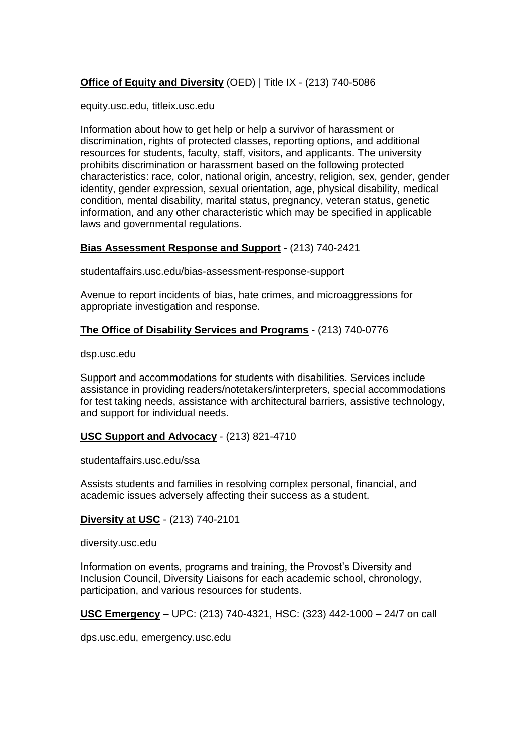# **Office of Equity and Diversity** (OED) | Title IX - (213) 740-5086

equity.usc.edu, titleix.usc.edu

Information about how to get help or help a survivor of harassment or discrimination, rights of protected classes, reporting options, and additional resources for students, faculty, staff, visitors, and applicants. The university prohibits discrimination or harassment based on the following protected characteristics: race, color, national origin, ancestry, religion, sex, gender, gender identity, gender expression, sexual orientation, age, physical disability, medical condition, mental disability, marital status, pregnancy, veteran status, genetic information, and any other characteristic which may be specified in applicable laws and governmental regulations.

### **Bias Assessment Response and Support** - (213) 740-2421

studentaffairs.usc.edu/bias-assessment-response-support

Avenue to report incidents of bias, hate crimes, and microaggressions for appropriate investigation and response.

#### **The Office of Disability Services and Programs** - (213) 740-0776

dsp.usc.edu

Support and accommodations for students with disabilities. Services include assistance in providing readers/notetakers/interpreters, special accommodations for test taking needs, assistance with architectural barriers, assistive technology, and support for individual needs.

#### **USC Support and Advocacy** - (213) 821-4710

studentaffairs.usc.edu/ssa

Assists students and families in resolving complex personal, financial, and academic issues adversely affecting their success as a student.

#### **Diversity at USC** - (213) 740-2101

diversity.usc.edu

Information on events, programs and training, the Provost's Diversity and Inclusion Council, Diversity Liaisons for each academic school, chronology, participation, and various resources for students.

**USC Emergency** – UPC: (213) 740-4321, HSC: (323) 442-1000 – 24/7 on call

dps.usc.edu, emergency.usc.edu